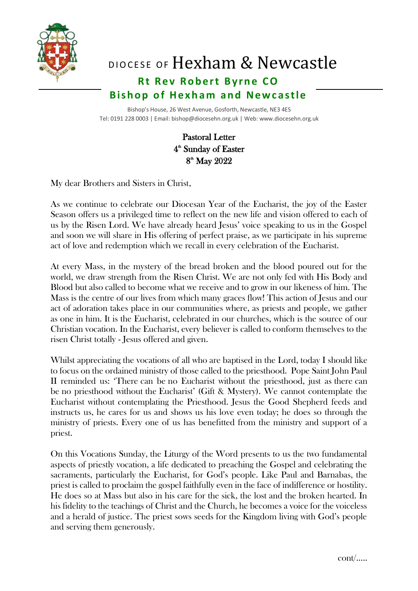

## DIOCESE OF Hexham & Newcastle

## **Rt Rev Robert Byrne CO Bishop of Hexham and Newcastle**

 Bishop's House, 26 West Avenue, Gosforth, Newcastle, NE3 4ES Tel: 0191 228 0003 | Email: bishop@diocesehn.org.uk | Web: www.diocesehn.org.uk

## Pastoral Letter 4<sup>th</sup> Sunday of Easter  $8<sup>th</sup>$  May  $2022$

My dear Brothers and Sisters in Christ,

As we continue to celebrate our Diocesan Year of the Eucharist, the joy of the Easter Season offers us a privileged time to reflect on the new life and vision offered to each of us by the Risen Lord. We have already heard Jesus' voice speaking to us in the Gospel and soon we will share in His offering of perfect praise, as we participate in his supreme act of love and redemption which we recall in every celebration of the Eucharist.

At every Mass, in the mystery of the bread broken and the blood poured out for the world, we draw strength from the Risen Christ. We are not only fed with His Body and Blood but also called to become what we receive and to grow in our likeness of him. The Mass is the centre of our lives from which many graces flow! This action of Jesus and our act of adoration takes place in our communities where, as priests and people, we gather as one in him. It is the Eucharist, celebrated in our churches, which is the source of our Christian vocation. In the Eucharist, every believer is called to conform themselves to the risen Christ totally - Jesus offered and given.

Whilst appreciating the vocations of all who are baptised in the Lord, today I should like to focus on the ordained ministry of those called to the priesthood. Pope Saint John Paul II reminded us: 'There can be no Eucharist without the priesthood, just as there can be no priesthood without the Eucharist' (Gift & Mystery). We cannot contemplate the Eucharist without contemplating the Priesthood. Jesus the Good Shepherd feeds and instructs us, he cares for us and shows us his love even today; he does so through the ministry of priests. Every one of us has benefitted from the ministry and support of a priest.

On this Vocations Sunday, the Liturgy of the Word presents to us the two fundamental aspects of priestly vocation, a life dedicated to preaching the Gospel and celebrating the sacraments, particularly the Eucharist, for God's people. Like Paul and Barnabas, the priest is called to proclaim the gospel faithfully even in the face of indifference or hostility. He does so at Mass but also in his care for the sick, the lost and the broken hearted. In his fidelity to the teachings of Christ and the Church, he becomes a voice for the voiceless and a herald of justice. The priest sows seeds for the Kingdom living with God's people and serving them generously.